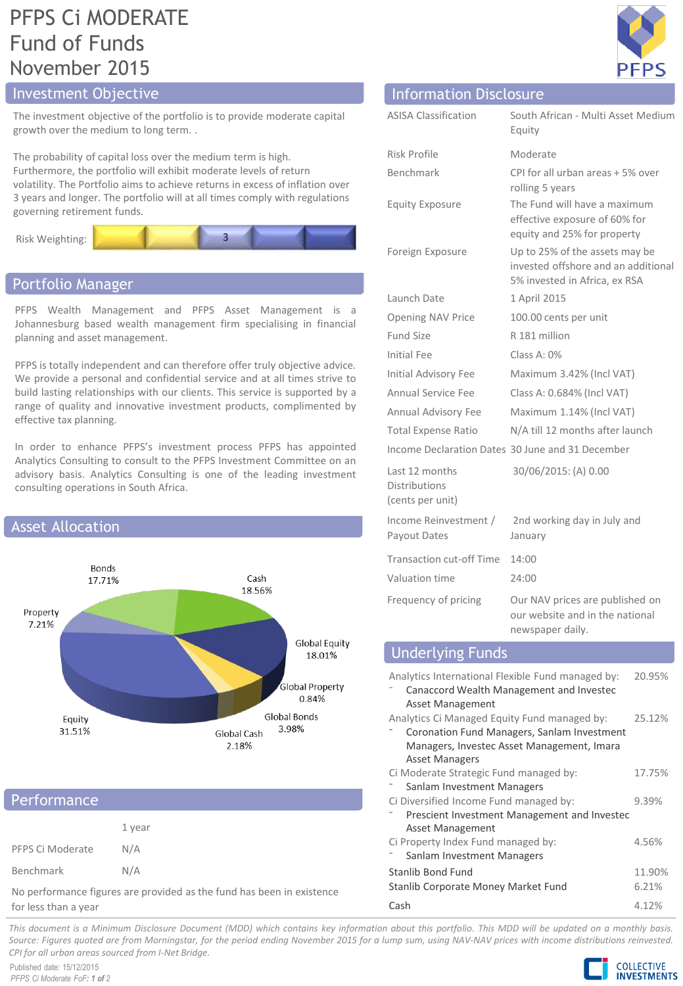## PFPS Ci MODERATE Fund of Funds November 2015

## **Investment Objective**

The investment objective of the portfolio is to provide moderate capital growth over the medium to long term. .

The probability of capital loss over the medium term is high. Furthermore, the portfolio will exhibit moderate levels of return volatility. The Portfolio aims to achieve returns in excess of inflation over 3 years and longer. The portfolio will at all times comply with regulations governing retirement funds.



## Portfolio Manager

PFPS Wealth Management and PFPS Asset Management is a Johannesburg based wealth management firm specialising in financial planning and asset management.

PFPS is totally independent and can therefore offer truly objective advice. We provide a personal and confidential service and at all times strive to build lasting relationships with our clients. This service is supported by a range of quality and innovative investment products, complimented by effective tax planning.

In order to enhance PFPS's investment process PFPS has appointed Analytics Consulting to consult to the PFPS Investment Committee on an advisory basis. Analytics Consulting is one of the leading investment consulting operations in South Africa.



## **Performance**

|                  | 1 year |
|------------------|--------|
| PFPS Ci Moderate | N/A    |
| Benchmark        | N/A    |

No performance figures are provided as the fund has been in existence for less than a year

| 듸<br>P | F |
|--------|---|

| <b>Information Disclosure</b>                              |                                                                                                        |
|------------------------------------------------------------|--------------------------------------------------------------------------------------------------------|
| <b>ASISA Classification</b>                                | South African - Multi Asset Medium<br>Equity                                                           |
| Risk Profile                                               | Moderate                                                                                               |
| <b>Benchmark</b>                                           | CPI for all urban areas + 5% over<br>rolling 5 years                                                   |
| <b>Equity Exposure</b>                                     | The Fund will have a maximum<br>effective exposure of 60% for<br>equity and 25% for property           |
| Foreign Exposure                                           | Up to 25% of the assets may be<br>invested offshore and an additional<br>5% invested in Africa, ex RSA |
| Launch Date                                                | 1 April 2015                                                                                           |
| <b>Opening NAV Price</b>                                   | 100.00 cents per unit                                                                                  |
| Fund Size                                                  | R 181 million                                                                                          |
| Initial Fee                                                | Class A: $0\%$                                                                                         |
| Initial Advisory Fee                                       | Maximum 3.42% (Incl VAT)                                                                               |
| <b>Annual Service Fee</b>                                  | Class A: 0.684% (Incl VAT)                                                                             |
| Annual Advisory Fee                                        | Maximum 1.14% (Incl VAT)                                                                               |
| <b>Total Expense Ratio</b>                                 | N/A till 12 months after launch                                                                        |
|                                                            | Income Declaration Dates 30 June and 31 December                                                       |
| Last 12 months<br><b>Distributions</b><br>(cents per unit) | 30/06/2015: (A) 0.00                                                                                   |
| Income Reinvestment /<br>Payout Dates                      | 2nd working day in July and<br>January                                                                 |
| <b>Transaction cut-off Time</b>                            | 14:00                                                                                                  |
| Valuation time                                             | 24:00                                                                                                  |
| Frequency of pricing                                       | Our NAV prices are published on<br>our website and in the national<br>newspaper daily.                 |
| <b>Underlying Funds</b>                                    |                                                                                                        |

| Analytics International Flexible Fund managed by:<br>Canaccord Wealth Management and Investec<br>Asset Management | 20.95% |  |
|-------------------------------------------------------------------------------------------------------------------|--------|--|
| Analytics Ci Managed Equity Fund managed by:                                                                      | 25.12% |  |
| Coronation Fund Managers, Sanlam Investment                                                                       |        |  |
| Managers, Investec Asset Management, Imara                                                                        |        |  |
| <b>Asset Managers</b>                                                                                             |        |  |
| Ci Moderate Strategic Fund managed by:                                                                            | 17.75% |  |
| Sanlam Investment Managers                                                                                        |        |  |
| Ci Diversified Income Fund managed by:                                                                            | 9.39%  |  |
| Prescient Investment Management and Investec                                                                      |        |  |
| Asset Management                                                                                                  |        |  |
| Ci Property Index Fund managed by:                                                                                | 4.56%  |  |
| Sanlam Investment Managers                                                                                        |        |  |
| Stanlib Bond Fund                                                                                                 | 11.90% |  |
| Stanlib Corporate Money Market Fund                                                                               | 6.21%  |  |
| Cash                                                                                                              | 4.12%  |  |

This document is a Minimum Disclosure Document (MDD) which contains key information about this portfolio. This MDD will be updated on a monthly basis. Source: Figures guoted are from Morningstar, for the period ending November 2015 for a lump sum, using NAV-NAV prices with income distributions reinvested. *CPI for all urban areas sourced from I-Net Bridge.*

Published date: 15/12/2015 *PFPS Ci Moderate FoF: 1 of 2*